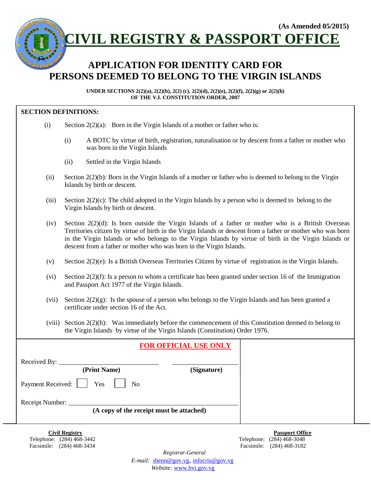

 Telephone: (284) 468-3442 Telephone: (284) 468-3048 Facsimile: (284) 468-3434 Facsimile: (284) 468-3182

**Civil Registry Passport Office**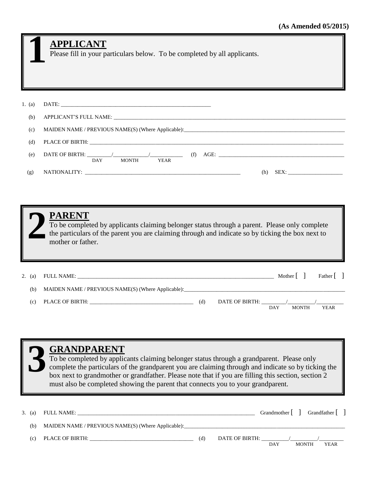|          | <b>APPLICANT</b><br>Please fill in your particulars below. To be completed by all applicants.                                                                                                                                                                                                                                                                                                                     |
|----------|-------------------------------------------------------------------------------------------------------------------------------------------------------------------------------------------------------------------------------------------------------------------------------------------------------------------------------------------------------------------------------------------------------------------|
| 1. (a)   |                                                                                                                                                                                                                                                                                                                                                                                                                   |
| (b)      |                                                                                                                                                                                                                                                                                                                                                                                                                   |
| (c)      |                                                                                                                                                                                                                                                                                                                                                                                                                   |
| (d)      |                                                                                                                                                                                                                                                                                                                                                                                                                   |
| (e)      | DATE OF BIRTH: $\frac{1}{\sqrt{M(Y)}}$ MONTH $\frac{1}{\sqrt{M(Y)}}$ (f) AGE:                                                                                                                                                                                                                                                                                                                                     |
| (g)      |                                                                                                                                                                                                                                                                                                                                                                                                                   |
|          | <b>PARENT</b><br>To be completed by applicants claiming belonger status through a parent. Please only complete<br>the particulars of the parent you are claiming through and indicate so by ticking the box next to<br>mother or father.                                                                                                                                                                          |
| 2. $(a)$ | Father $\begin{bmatrix} \end{bmatrix}$                                                                                                                                                                                                                                                                                                                                                                            |
| (b)      |                                                                                                                                                                                                                                                                                                                                                                                                                   |
|          | (c) PLACE OF BIRTH:<br>(d) DATE OF BIRTH: $\frac{1}{\sqrt{2\pi}}$<br><b>MONTH</b><br><b>DAY</b><br><b>YEAR</b>                                                                                                                                                                                                                                                                                                    |
|          | <b>GRANDPARENT</b><br>To be completed by applicants claiming belonger status through a grandparent. Please only<br>complete the particulars of the grandparent you are claiming through and indicate so by ticking the<br>box next to grandmother or grandfather. Please note that if you are filling this section, section 2<br>must also be completed showing the parent that connects you to your grandparent. |

| 3. (a) | FULL NAME:                                                                       |     |                |     |              | Grandmother     Grandfather |
|--------|----------------------------------------------------------------------------------|-----|----------------|-----|--------------|-----------------------------|
| (b)    | MAIDEN NAME / PREVIOUS NAME(S) (Where Applicable):______________________________ |     |                |     |              |                             |
| (c)    | PLACE OF BIRTH:                                                                  | (d) | DATE OF BIRTH: | DAY | <b>MONTH</b> | <b>YEAR</b>                 |
|        |                                                                                  |     |                |     |              |                             |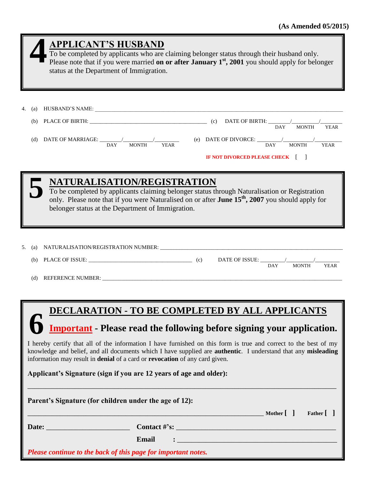| (a) HUSBAND'S NAME:<br>4.<br><b>MONTH</b><br><b>YEAR</b><br>(d) DATE OF MARRIAGE: $\frac{1}{1-\text{DAY}}$ MONTH<br>(e) DATE OF DIVORCE: $\frac{1}{1-\frac{1}{1-\frac{1}{1-\frac{1}{1-\frac{1}{1-\frac{1}{1-\frac{1}{1-\frac{1}{1-\frac{1}{1-\frac{1}{1-\frac{1}{1-\frac{1}{1-\frac{1}{1-\frac{1}{1-\frac{1}{1-\frac{1}{1-\frac{1}{1-\frac{1}{1-\frac{1}{1-\frac{1}{1-\frac{1}{1-\frac{1}{1-\frac{1}{1-\frac{1}{1-\frac{1}{1-\frac{1}{1-\frac{1}{1-\frac{1}{1-\frac{1}{1-\frac{1}{1-\frac{1}{1-\frac{1}{1-\frac{1}{1-\$<br><b>YEAR</b><br>IF NOT DIVORCED PLEASE CHECK [ ]                                                                         |  |  |  |  |  |  |  |  |
|----------------------------------------------------------------------------------------------------------------------------------------------------------------------------------------------------------------------------------------------------------------------------------------------------------------------------------------------------------------------------------------------------------------------------------------------------------------------------------------------------------------------------------------------------------------------------------------------------------------------------------------------------|--|--|--|--|--|--|--|--|
|                                                                                                                                                                                                                                                                                                                                                                                                                                                                                                                                                                                                                                                    |  |  |  |  |  |  |  |  |
| NATURALISATION/REGISTRATION<br>To be completed by applicants claiming belonger status through Naturalisation or Registration<br>only. Please note that if you were Naturalised on or after <b>June 15<sup>th</sup></b> , 2007 you should apply for<br>belonger status at the Department of Immigration.                                                                                                                                                                                                                                                                                                                                            |  |  |  |  |  |  |  |  |
| 5.<br>(a)<br>PLACE OF ISSUE: (c)<br>(b)<br><b>MONTH</b><br><b>DAY</b><br><b>YEAR</b>                                                                                                                                                                                                                                                                                                                                                                                                                                                                                                                                                               |  |  |  |  |  |  |  |  |
| DECLARATION - TO BE COMPLETED BY ALL APPLICANTS<br><b>Important</b> - Please read the following before signing your application.<br>I hereby certify that all of the information I have furnished on this form is true and correct to the best of my<br>knowledge and belief, and all documents which I have supplied are <b>authentic</b> . I understand that any misleading<br>information may result in denial of a card or revocation of any card given.<br>Applicant's Signature (sign if you are 12 years of age and older):<br>Parent's Signature (for children under the age of 12):<br>Father [ ]<br>$\lfloor$ Mother $\lfloor$ $\rfloor$ |  |  |  |  |  |  |  |  |
|                                                                                                                                                                                                                                                                                                                                                                                                                                                                                                                                                                                                                                                    |  |  |  |  |  |  |  |  |
| Email<br>Please continue to the back of this page for important notes.                                                                                                                                                                                                                                                                                                                                                                                                                                                                                                                                                                             |  |  |  |  |  |  |  |  |